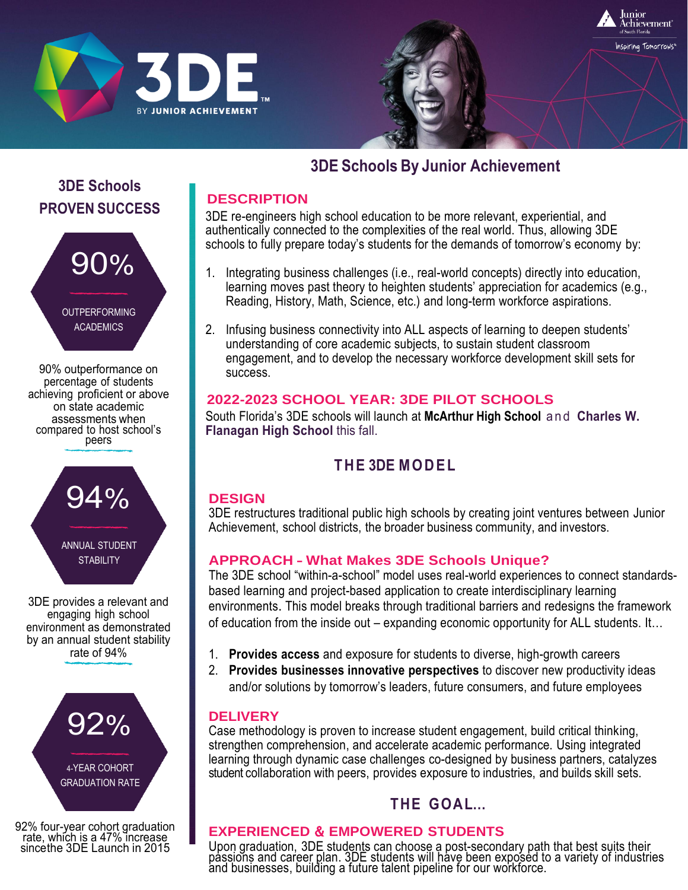



# **3DE Schools By Junior Achievement**

### **DESCRIPTION**

3DE re-engineers high school education to be more relevant, experiential, and authentically connected to the complexities of the real world. Thus, allowing 3DE schools to fully prepare today's students for the demands of tomorrow's economy by:

- 1. Integrating business challenges (i.e., real-world concepts) directly into education, learning moves past theory to heighten students' appreciation for academics (e.g., Reading, History, Math, Science, etc.) and long-term workforce aspirations.
- 2. Infusing business connectivity into ALL aspects of learning to deepen students' understanding of core academic subjects, to sustain student classroom engagement, and to develop the necessary workforce development skill sets for success.

### **2022-2023 SCHOOL YEAR: 3DE PILOT SCHOOLS**

South Florida's 3DE schools will launch at **McArthur High School** and **Charles W. Flanagan High School** this fall.

## **THE 3DE MODEL**

### **DESIGN**

3DE restructures traditional public high schools by creating joint ventures between Junior Achievement, school districts, the broader business community, and investors.

### **APPROACH** – **What Makes 3DE Schools Unique?**

The 3DE school "within-a-school" model uses real-world experiences to connect standardsbased learning and project-based application to create interdisciplinary learning environments. This model breaks through traditional barriers and redesigns the framework of education from the inside out – expanding economic opportunity for ALL students. It…

- 1. **Provides access** and exposure for students to diverse, high-growth careers
- 2. **Provides businesses innovative perspectives** to discover new productivity ideas and/or solutions by tomorrow's leaders, future consumers, and future employees

### **DELIVERY**

Case methodology is proven to increase student engagement, build critical thinking, strengthen comprehension, and accelerate academic performance. Using integrated learning through dynamic case challenges co-designed by business partners, catalyzes student collaboration with peers, provides exposure to industries, and builds skill sets.

# **THE GOAL…**

### **EXPERIENCED** & **EMPOWERED STUDENTS**

Upon graduation, 3DE students can choose a post-secondary path that best suits their passions and career plan. 3DE students will have been exposed to a variety of industries and businesses, building a future talent pipeline for our workforce.

### **3DE Schools PROVEN SUCCESS**



percentage of students achieving proficient or above on state academic assessments when compared to host school's peers



3DE provides a relevant and engaging high school environment as demonstrated by an annual student stability rate of 94%



92% four-year cohort graduation rate, which is a 47% increase sincethe 3DE Launch in 2015